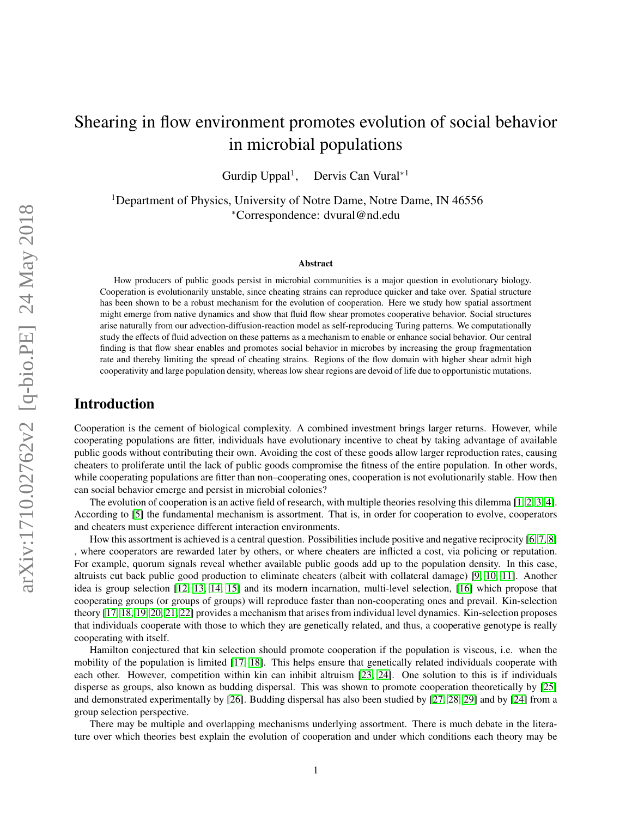# Shearing in flow environment promotes evolution of social behavior in microbial populations

Gurdip Uppal<sup>1</sup>, Dervis Can Vural<sup>∗1</sup>

<sup>1</sup>Department of Physics, University of Notre Dame, Notre Dame, IN 46556 <sup>∗</sup>Correspondence: dvural@nd.edu

#### Abstract

How producers of public goods persist in microbial communities is a major question in evolutionary biology. Cooperation is evolutionarily unstable, since cheating strains can reproduce quicker and take over. Spatial structure has been shown to be a robust mechanism for the evolution of cooperation. Here we study how spatial assortment might emerge from native dynamics and show that fluid flow shear promotes cooperative behavior. Social structures arise naturally from our advection-diffusion-reaction model as self-reproducing Turing patterns. We computationally study the effects of fluid advection on these patterns as a mechanism to enable or enhance social behavior. Our central finding is that flow shear enables and promotes social behavior in microbes by increasing the group fragmentation rate and thereby limiting the spread of cheating strains. Regions of the flow domain with higher shear admit high cooperativity and large population density, whereas low shear regions are devoid of life due to opportunistic mutations.

### Introduction

Cooperation is the cement of biological complexity. A combined investment brings larger returns. However, while cooperating populations are fitter, individuals have evolutionary incentive to cheat by taking advantage of available public goods without contributing their own. Avoiding the cost of these goods allow larger reproduction rates, causing cheaters to proliferate until the lack of public goods compromise the fitness of the entire population. In other words, while cooperating populations are fitter than non–cooperating ones, cooperation is not evolutionarily stable. How then can social behavior emerge and persist in microbial colonies?

The evolution of cooperation is an active field of research, with multiple theories resolving this dilemma [\[1,](#page-13-0) [2,](#page-13-1) [3,](#page-13-2) [4\]](#page-13-3). According to [\[5\]](#page-13-4) the fundamental mechanism is assortment. That is, in order for cooperation to evolve, cooperators and cheaters must experience different interaction environments.

How this assortment is achieved is a central question. Possibilities include positive and negative reciprocity [\[6,](#page-13-5) [7,](#page-13-6) [8\]](#page-13-7) , where cooperators are rewarded later by others, or where cheaters are inflicted a cost, via policing or reputation. For example, quorum signals reveal whether available public goods add up to the population density. In this case, altruists cut back public good production to eliminate cheaters (albeit with collateral damage) [\[9,](#page-13-8) [10,](#page-13-9) [11\]](#page-13-10). Another idea is group selection [\[12,](#page-13-11) [13,](#page-13-12) [14,](#page-13-13) [15\]](#page-13-14) and its modern incarnation, multi-level selection, [\[16\]](#page-14-0) which propose that cooperating groups (or groups of groups) will reproduce faster than non-cooperating ones and prevail. Kin-selection theory [\[17,](#page-14-1) [18,](#page-14-2) [19,](#page-14-3) [20,](#page-14-4) [21,](#page-14-5) [22\]](#page-14-6) provides a mechanism that arises from individual level dynamics. Kin-selection proposes that individuals cooperate with those to which they are genetically related, and thus, a cooperative genotype is really cooperating with itself.

Hamilton conjectured that kin selection should promote cooperation if the population is viscous, i.e. when the mobility of the population is limited [\[17,](#page-14-1) [18\]](#page-14-2). This helps ensure that genetically related individuals cooperate with each other. However, competition within kin can inhibit altruism [\[23,](#page-14-7) [24\]](#page-14-8). One solution to this is if individuals disperse as groups, also known as budding dispersal. This was shown to promote cooperation theoretically by [\[25\]](#page-14-9) and demonstrated experimentally by [\[26\]](#page-14-10). Budding dispersal has also been studied by [\[27,](#page-14-11) [28,](#page-14-12) [29\]](#page-14-13) and by [\[24\]](#page-14-8) from a group selection perspective.

There may be multiple and overlapping mechanisms underlying assortment. There is much debate in the literature over which theories best explain the evolution of cooperation and under which conditions each theory may be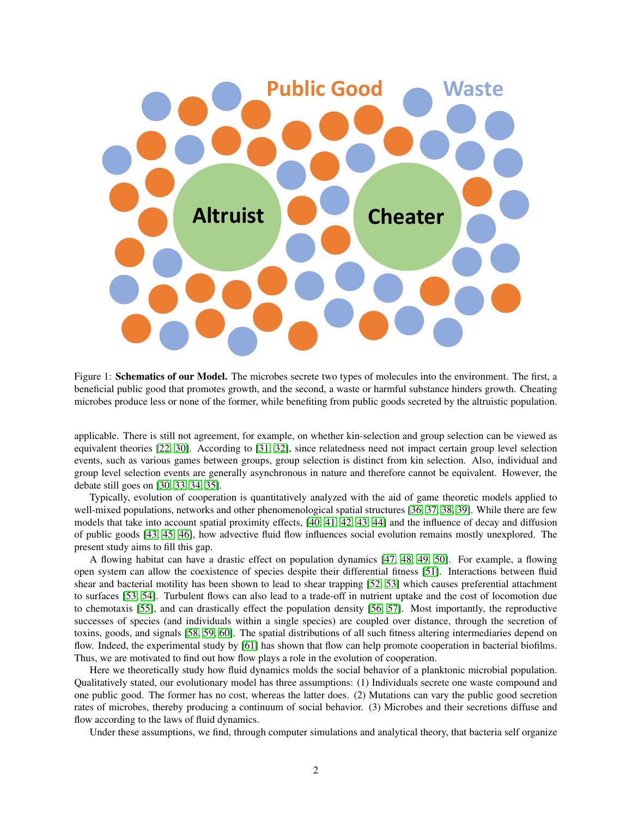<span id="page-1-0"></span>

Figure 1: **Schematics of our Model.** The microbes secrete two types of molecules into the environment. The first, a beneficial public good that promotes growth, and the second, a waste or harmful substance hinders growth. Cheating microbes produce less or none of the former, while benefiting from public goods secreted by the altruistic population.

applicable. There is still not agreement, for example, on whether kin-selection and group selection can be viewed as equivalent theories [\[22,](#page-14-6) [30\]](#page-14-14). According to [\[31,](#page-14-15) [32\]](#page-14-16), since relatedness need not impact certain group level selection events, such as various games between groups, group selection is distinct from kin selection. Also, individual and group level selection events are generally asynchronous in nature and therefore cannot be equivalent. However, the debate still goes on [\[30,](#page-14-14) [33,](#page-14-17) [34,](#page-14-18) [35\]](#page-14-19).

Typically, evolution of cooperation is quantitatively analyzed with the aid of game theoretic models applied to well-mixed populations, networks and other phenomenological spatial structures [\[36,](#page-14-20) [37,](#page-14-21) [38,](#page-15-0) [39\]](#page-15-1). While there are few models that take into account spatial proximity effects, [\[40,](#page-15-2) [41,](#page-15-3) [42,](#page-15-4) [43,](#page-15-5) [44\]](#page-15-6) and the influence of decay and diffusion of public goods [\[43,](#page-15-5) [45,](#page-15-7) [46\]](#page-15-8), how advective fluid flow influences social evolution remains mostly unexplored. The present study aims to fill this gap.

A flowing habitat can have a drastic effect on population dynamics [\[47,](#page-15-9) [48,](#page-15-10) [49,](#page-15-11) [50\]](#page-15-12). For example, a flowing open system can allow the coexistence of species despite their differential fitness [\[51\]](#page-15-13). Interactions between fluid shear and bacterial motility has been shown to lead to shear trapping [\[52,](#page-15-14) [53\]](#page-15-15) which causes preferential attachment to surfaces [\[53,](#page-15-15) [54\]](#page-15-16). Turbulent flows can also lead to a trade-off in nutrient uptake and the cost of locomotion due to chemotaxis [\[55\]](#page-15-17), and can drastically effect the population density [\[56,](#page-15-18) [57\]](#page-16-0). Most importantly, the reproductive successes of species (and individuals within a single species) are coupled over distance, through the secretion of toxins, goods, and signals [\[58,](#page-16-1) [59,](#page-16-2) [60\]](#page-16-3). The spatial distributions of all such fitness altering intermediaries depend on flow. Indeed, the experimental study by [\[61\]](#page-16-4) has shown that flow can help promote cooperation in bacterial biofilms. Thus, we are motivated to find out how flow plays a role in the evolution of cooperation.

Here we theoretically study how fluid dynamics molds the social behavior of a planktonic microbial population. Qualitatively stated, our evolutionary model has three assumptions: (1) Individuals secrete one waste compound and one public good. The former has no cost, whereas the latter does. (2) Mutations can vary the public good secretion rates of microbes, thereby producing a continuum of social behavior. (3) Microbes and their secretions diffuse and flow according to the laws of fluid dynamics.

Under these assumptions, we find, through computer simulations and analytical theory, that bacteria self organize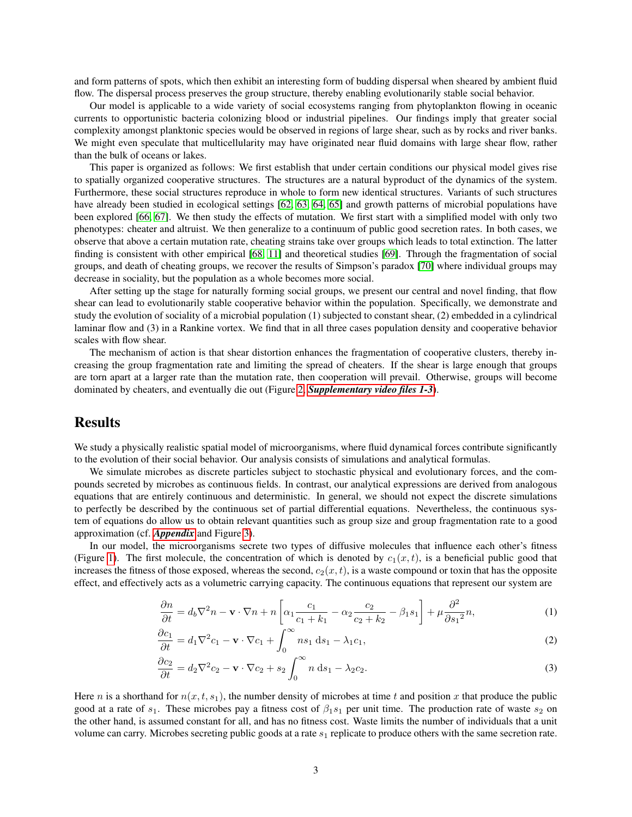and form patterns of spots, which then exhibit an interesting form of budding dispersal when sheared by ambient fluid flow. The dispersal process preserves the group structure, thereby enabling evolutionarily stable social behavior.

Our model is applicable to a wide variety of social ecosystems ranging from phytoplankton flowing in oceanic currents to opportunistic bacteria colonizing blood or industrial pipelines. Our findings imply that greater social complexity amongst planktonic species would be observed in regions of large shear, such as by rocks and river banks. We might even speculate that multicellularity may have originated near fluid domains with large shear flow, rather than the bulk of oceans or lakes.

This paper is organized as follows: We first establish that under certain conditions our physical model gives rise to spatially organized cooperative structures. The structures are a natural byproduct of the dynamics of the system. Furthermore, these social structures reproduce in whole to form new identical structures. Variants of such structures have already been studied in ecological settings [\[62,](#page-16-5) [63,](#page-16-6) [64,](#page-16-7) [65\]](#page-16-8) and growth patterns of microbial populations have been explored [\[66,](#page-16-9) [67\]](#page-16-10). We then study the effects of mutation. We first start with a simplified model with only two phenotypes: cheater and altruist. We then generalize to a continuum of public good secretion rates. In both cases, we observe that above a certain mutation rate, cheating strains take over groups which leads to total extinction. The latter finding is consistent with other empirical [\[68,](#page-16-11) [11\]](#page-13-10) and theoretical studies [\[69\]](#page-16-12). Through the fragmentation of social groups, and death of cheating groups, we recover the results of Simpson's paradox [\[70\]](#page-16-13) where individual groups may decrease in sociality, but the population as a whole becomes more social.

After setting up the stage for naturally forming social groups, we present our central and novel finding, that flow shear can lead to evolutionarily stable cooperative behavior within the population. Specifically, we demonstrate and study the evolution of sociality of a microbial population (1) subjected to constant shear, (2) embedded in a cylindrical laminar flow and (3) in a Rankine vortex. We find that in all three cases population density and cooperative behavior scales with flow shear.

The mechanism of action is that shear distortion enhances the fragmentation of cooperative clusters, thereby increasing the group fragmentation rate and limiting the spread of cheaters. If the shear is large enough that groups are torn apart at a larger rate than the mutation rate, then cooperation will prevail. Otherwise, groups will become dominated by cheaters, and eventually die out (Figure [2,](#page-4-0) *[Supplementary video files 1-3](#page-12-0)*).

### Results

We study a physically realistic spatial model of microorganisms, where fluid dynamical forces contribute significantly to the evolution of their social behavior. Our analysis consists of simulations and analytical formulas.

We simulate microbes as discrete particles subject to stochastic physical and evolutionary forces, and the compounds secreted by microbes as continuous fields. In contrast, our analytical expressions are derived from analogous equations that are entirely continuous and deterministic. In general, we should not expect the discrete simulations to perfectly be described by the continuous set of partial differential equations. Nevertheless, the continuous system of equations do allow us to obtain relevant quantities such as group size and group fragmentation rate to a good approximation (cf. *[Appendix](#page-17-0)* and Figure [3\)](#page-5-0).

In our model, the microorganisms secrete two types of diffusive molecules that influence each other's fitness (Figure [1\)](#page-1-0). The first molecule, the concentration of which is denoted by  $c_1(x, t)$ , is a beneficial public good that increases the fitness of those exposed, whereas the second,  $c_2(x, t)$ , is a waste compound or toxin that has the opposite effect, and effectively acts as a volumetric carrying capacity. The continuous equations that represent our system are

<span id="page-2-1"></span><span id="page-2-0"></span>
$$
\frac{\partial n}{\partial t} = d_b \nabla^2 n - \mathbf{v} \cdot \nabla n + n \left[ \alpha_1 \frac{c_1}{c_1 + k_1} - \alpha_2 \frac{c_2}{c_2 + k_2} - \beta_1 s_1 \right] + \mu \frac{\partial^2}{\partial s_1^2} n,\tag{1}
$$

<span id="page-2-2"></span>
$$
\frac{\partial c_1}{\partial t} = d_1 \nabla^2 c_1 - \mathbf{v} \cdot \nabla c_1 + \int_0^\infty n s_1 \, \mathrm{d} s_1 - \lambda_1 c_1,\tag{2}
$$

$$
\frac{\partial c_2}{\partial t} = d_2 \nabla^2 c_2 - \mathbf{v} \cdot \nabla c_2 + s_2 \int_0^\infty n \, ds_1 - \lambda_2 c_2. \tag{3}
$$

Here n is a shorthand for  $n(x, t, s_1)$ , the number density of microbes at time t and position x that produce the public good at a rate of  $s_1$ . These microbes pay a fitness cost of  $\beta_1s_1$  per unit time. The production rate of waste  $s_2$  on the other hand, is assumed constant for all, and has no fitness cost. Waste limits the number of individuals that a unit volume can carry. Microbes secreting public goods at a rate  $s<sub>1</sub>$  replicate to produce others with the same secretion rate.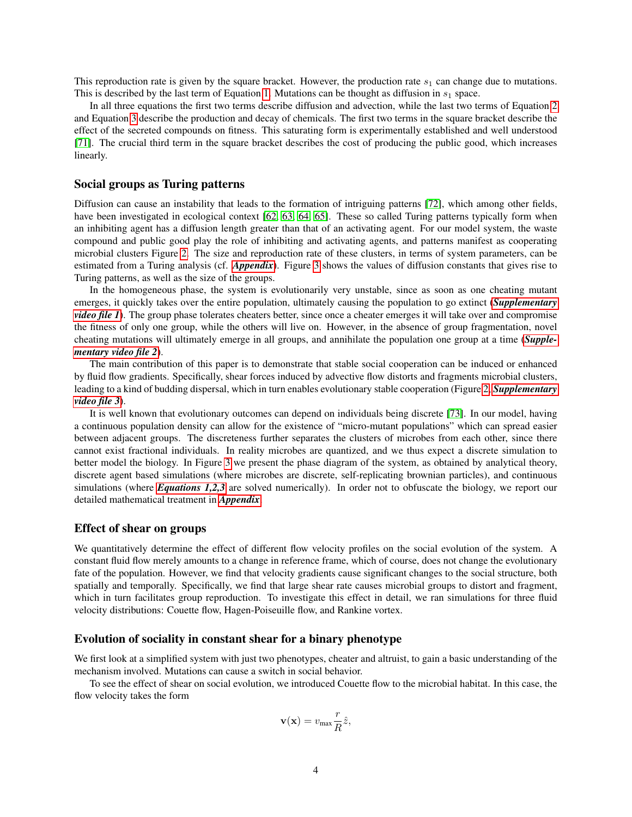This reproduction rate is given by the square bracket. However, the production rate  $s_1$  can change due to mutations. This is described by the last term of Equation [1.](#page-2-0) Mutations can be thought as diffusion in  $s_1$  space.

In all three equations the first two terms describe diffusion and advection, while the last two terms of Equation [2](#page-2-1) and Equation [3](#page-2-2) describe the production and decay of chemicals. The first two terms in the square bracket describe the effect of the secreted compounds on fitness. This saturating form is experimentally established and well understood [\[71\]](#page-16-14). The crucial third term in the square bracket describes the cost of producing the public good, which increases linearly.

### Social groups as Turing patterns

Diffusion can cause an instability that leads to the formation of intriguing patterns [\[72\]](#page-16-15), which among other fields, have been investigated in ecological context [\[62,](#page-16-5) [63,](#page-16-6) [64,](#page-16-7) [65\]](#page-16-8). These so called Turing patterns typically form when an inhibiting agent has a diffusion length greater than that of an activating agent. For our model system, the waste compound and public good play the role of inhibiting and activating agents, and patterns manifest as cooperating microbial clusters Figure [2.](#page-4-0) The size and reproduction rate of these clusters, in terms of system parameters, can be estimated from a Turing analysis (cf. *[Appendix](#page-17-0)*). Figure [3](#page-5-0) shows the values of diffusion constants that gives rise to Turing patterns, as well as the size of the groups.

In the homogeneous phase, the system is evolutionarily very unstable, since as soon as one cheating mutant emerges, it quickly takes over the entire population, ultimately causing the population to go extinct (*[Supplementary](#page-12-0) [video file 1](#page-12-0)*). The group phase tolerates cheaters better, since once a cheater emerges it will take over and compromise the fitness of only one group, while the others will live on. However, in the absence of group fragmentation, novel cheating mutations will ultimately emerge in all groups, and annihilate the population one group at a time (*[Supple](#page-12-0)[mentary video file 2](#page-12-0)*).

The main contribution of this paper is to demonstrate that stable social cooperation can be induced or enhanced by fluid flow gradients. Specifically, shear forces induced by advective flow distorts and fragments microbial clusters, leading to a kind of budding dispersal, which in turn enables evolutionary stable cooperation (Figure [2,](#page-4-0) *[Supplementary](#page-12-0) [video file 3](#page-12-0)*).

It is well known that evolutionary outcomes can depend on individuals being discrete [\[73\]](#page-16-16). In our model, having a continuous population density can allow for the existence of "micro-mutant populations" which can spread easier between adjacent groups. The discreteness further separates the clusters of microbes from each other, since there cannot exist fractional individuals. In reality microbes are quantized, and we thus expect a discrete simulation to better model the biology. In Figure [3](#page-5-0) we present the phase diagram of the system, as obtained by analytical theory, discrete agent based simulations (where microbes are discrete, self-replicating brownian particles), and continuous simulations (where *[Equations 1,2,3](#page-2-0)* are solved numerically). In order not to obfuscate the biology, we report our detailed mathematical treatment in *[Appendix](#page-17-0)*.

#### Effect of shear on groups

We quantitatively determine the effect of different flow velocity profiles on the social evolution of the system. A constant fluid flow merely amounts to a change in reference frame, which of course, does not change the evolutionary fate of the population. However, we find that velocity gradients cause significant changes to the social structure, both spatially and temporally. Specifically, we find that large shear rate causes microbial groups to distort and fragment, which in turn facilitates group reproduction. To investigate this effect in detail, we ran simulations for three fluid velocity distributions: Couette flow, Hagen-Poiseuille flow, and Rankine vortex.

#### Evolution of sociality in constant shear for a binary phenotype

We first look at a simplified system with just two phenotypes, cheater and altruist, to gain a basic understanding of the mechanism involved. Mutations can cause a switch in social behavior.

To see the effect of shear on social evolution, we introduced Couette flow to the microbial habitat. In this case, the flow velocity takes the form

$$
\mathbf{v}(\mathbf{x}) = v_{\text{max}} \frac{r}{R} \hat{z},
$$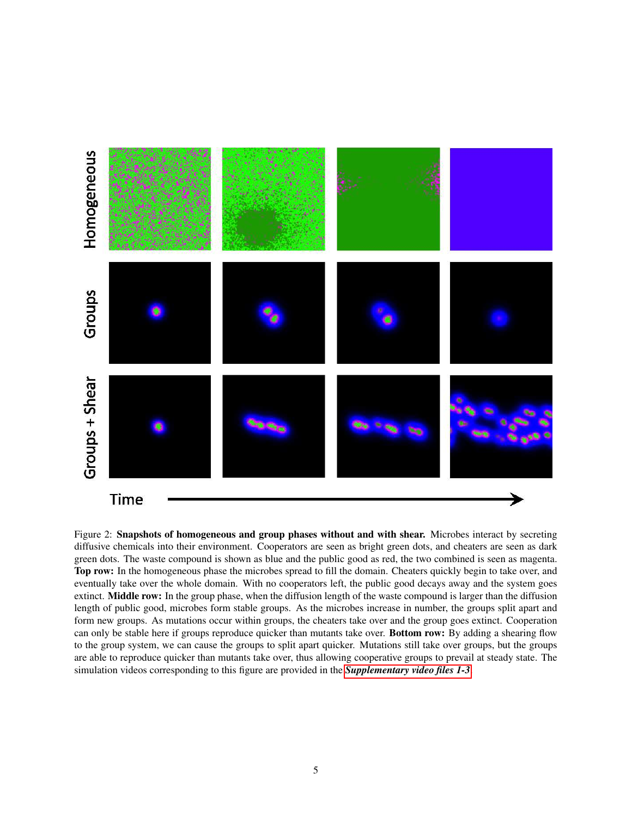<span id="page-4-0"></span>

Figure 2: Snapshots of homogeneous and group phases without and with shear. Microbes interact by secreting diffusive chemicals into their environment. Cooperators are seen as bright green dots, and cheaters are seen as dark green dots. The waste compound is shown as blue and the public good as red, the two combined is seen as magenta. Top row: In the homogeneous phase the microbes spread to fill the domain. Cheaters quickly begin to take over, and eventually take over the whole domain. With no cooperators left, the public good decays away and the system goes extinct. Middle row: In the group phase, when the diffusion length of the waste compound is larger than the diffusion length of public good, microbes form stable groups. As the microbes increase in number, the groups split apart and form new groups. As mutations occur within groups, the cheaters take over and the group goes extinct. Cooperation can only be stable here if groups reproduce quicker than mutants take over. Bottom row: By adding a shearing flow to the group system, we can cause the groups to split apart quicker. Mutations still take over groups, but the groups are able to reproduce quicker than mutants take over, thus allowing cooperative groups to prevail at steady state. The simulation videos corresponding to this figure are provided in the *[Supplementary video files 1-3](#page-12-0)*.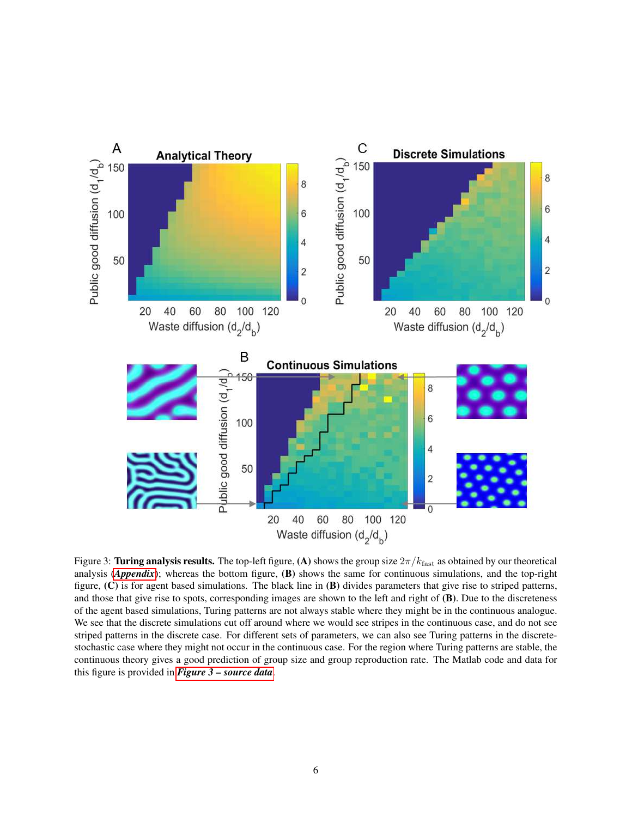<span id="page-5-0"></span>

Figure 3: Turing analysis results. The top-left figure, (A) shows the group size  $2\pi/k_{\text{fast}}$  as obtained by our theoretical analysis (*[Appendix](#page-17-0)*); whereas the bottom figure, (B) shows the same for continuous simulations, and the top-right figure,  $(C)$  is for agent based simulations. The black line in  $(B)$  divides parameters that give rise to striped patterns, and those that give rise to spots, corresponding images are shown to the left and right of (B). Due to the discreteness of the agent based simulations, Turing patterns are not always stable where they might be in the continuous analogue. We see that the discrete simulations cut off around where we would see stripes in the continuous case, and do not see striped patterns in the discrete case. For different sets of parameters, we can also see Turing patterns in the discretestochastic case where they might not occur in the continuous case. For the region where Turing patterns are stable, the continuous theory gives a good prediction of group size and group reproduction rate. The Matlab code and data for this figure is provided in *[Figure 3 – source data](#page-12-0)*.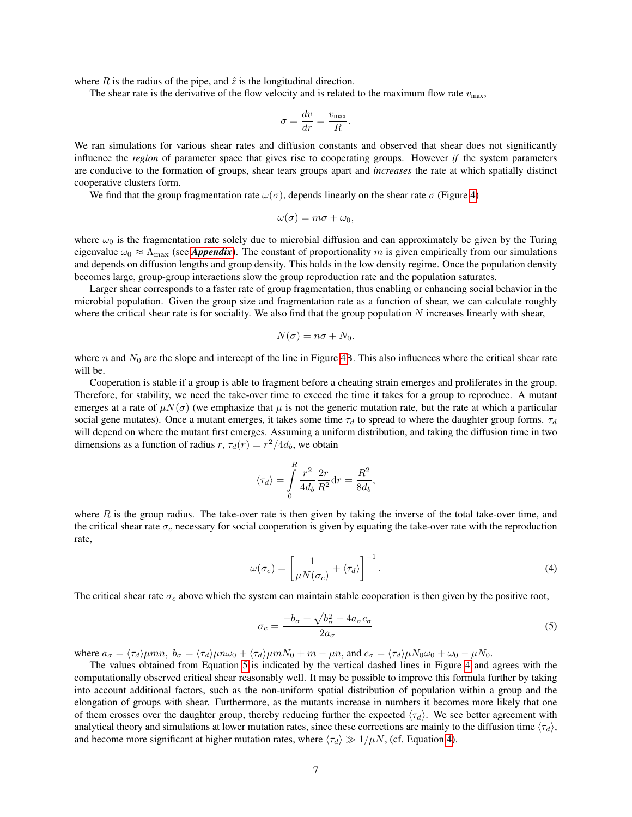where R is the radius of the pipe, and  $\hat{z}$  is the longitudinal direction.

The shear rate is the derivative of the flow velocity and is related to the maximum flow rate  $v_{\text{max}}$ ,

$$
\sigma = \frac{dv}{dr} = \frac{v_{\text{max}}}{R}.
$$

We ran simulations for various shear rates and diffusion constants and observed that shear does not significantly influence the *region* of parameter space that gives rise to cooperating groups. However *if* the system parameters are conducive to the formation of groups, shear tears groups apart and *increases* the rate at which spatially distinct cooperative clusters form.

We find that the group fragmentation rate  $\omega(\sigma)$ , depends linearly on the shear rate  $\sigma$  (Figure [4\)](#page-7-0)

$$
\omega(\sigma)=m\sigma+\omega_0,
$$

where  $\omega_0$  is the fragmentation rate solely due to microbial diffusion and can approximately be given by the Turing eigenvalue  $\omega_0 \approx \Lambda_{\text{max}}$  (see *[Appendix](#page-17-0)*). The constant of proportionality m is given empirically from our simulations and depends on diffusion lengths and group density. This holds in the low density regime. Once the population density becomes large, group-group interactions slow the group reproduction rate and the population saturates.

Larger shear corresponds to a faster rate of group fragmentation, thus enabling or enhancing social behavior in the microbial population. Given the group size and fragmentation rate as a function of shear, we can calculate roughly where the critical shear rate is for sociality. We also find that the group population  $N$  increases linearly with shear,

$$
N(\sigma) = n\sigma + N_0.
$$

where n and  $N_0$  are the slope and intercept of the line in Figure [4B](#page-7-0). This also influences where the critical shear rate will be.

Cooperation is stable if a group is able to fragment before a cheating strain emerges and proliferates in the group. Therefore, for stability, we need the take-over time to exceed the time it takes for a group to reproduce. A mutant emerges at a rate of  $\mu N(\sigma)$  (we emphasize that  $\mu$  is not the generic mutation rate, but the rate at which a particular social gene mutates). Once a mutant emerges, it takes some time  $\tau_d$  to spread to where the daughter group forms.  $\tau_d$ will depend on where the mutant first emerges. Assuming a uniform distribution, and taking the diffusion time in two dimensions as a function of radius  $r, \tau_d(r) = r^2/4d_b$ , we obtain

$$
\langle \tau_d \rangle = \int\limits_0^R \frac{r^2}{4d_b} \frac{2r}{R^2} dr = \frac{R^2}{8d_b},
$$

where  $R$  is the group radius. The take-over rate is then given by taking the inverse of the total take-over time, and the critical shear rate  $\sigma_c$  necessary for social cooperation is given by equating the take-over rate with the reproduction rate,

$$
\omega(\sigma_c) = \left[\frac{1}{\mu N(\sigma_c)} + \langle \tau_d \rangle\right]^{-1}.\tag{4}
$$

The critical shear rate  $\sigma_c$  above which the system can maintain stable cooperation is then given by the positive root,

<span id="page-6-1"></span><span id="page-6-0"></span>
$$
\sigma_c = \frac{-b_\sigma + \sqrt{b_\sigma^2 - 4a_\sigma c_\sigma}}{2a_\sigma} \tag{5}
$$

where  $a_{\sigma} = \langle \tau_d \rangle \mu m$ ,  $b_{\sigma} = \langle \tau_d \rangle \mu m \omega_0 + \langle \tau_d \rangle \mu m N_0 + m - \mu n$ , and  $c_{\sigma} = \langle \tau_d \rangle \mu N_0 \omega_0 + \omega_0 - \mu N_0$ .

The values obtained from Equation [5](#page-6-0) is indicated by the vertical dashed lines in Figure [4](#page-7-0) and agrees with the computationally observed critical shear reasonably well. It may be possible to improve this formula further by taking into account additional factors, such as the non-uniform spatial distribution of population within a group and the elongation of groups with shear. Furthermore, as the mutants increase in numbers it becomes more likely that one of them crosses over the daughter group, thereby reducing further the expected  $\langle \tau_d \rangle$ . We see better agreement with analytical theory and simulations at lower mutation rates, since these corrections are mainly to the diffusion time  $\langle \tau_d \rangle$ , and become more significant at higher mutation rates, where  $\langle \tau_d \rangle \gg 1/\mu N$ , (cf. Equation [4\)](#page-6-1).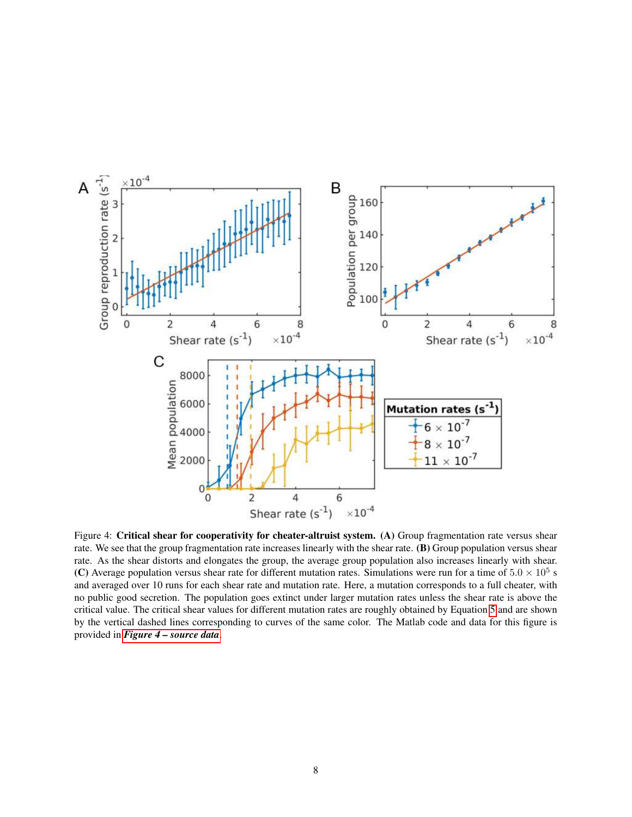<span id="page-7-0"></span>

Figure 4: Critical shear for cooperativity for cheater-altruist system. (A) Group fragmentation rate versus shear rate. We see that the group fragmentation rate increases linearly with the shear rate. (B) Group population versus shear rate. As the shear distorts and elongates the group, the average group population also increases linearly with shear. (C) Average population versus shear rate for different mutation rates. Simulations were run for a time of  $5.0 \times 10^5$  s and averaged over 10 runs for each shear rate and mutation rate. Here, a mutation corresponds to a full cheater, with no public good secretion. The population goes extinct under larger mutation rates unless the shear rate is above the critical value. The critical shear values for different mutation rates are roughly obtained by Equation [5](#page-6-0) and are shown by the vertical dashed lines corresponding to curves of the same color. The Matlab code and data for this figure is provided in *[Figure 4 – source data](#page-12-0)*.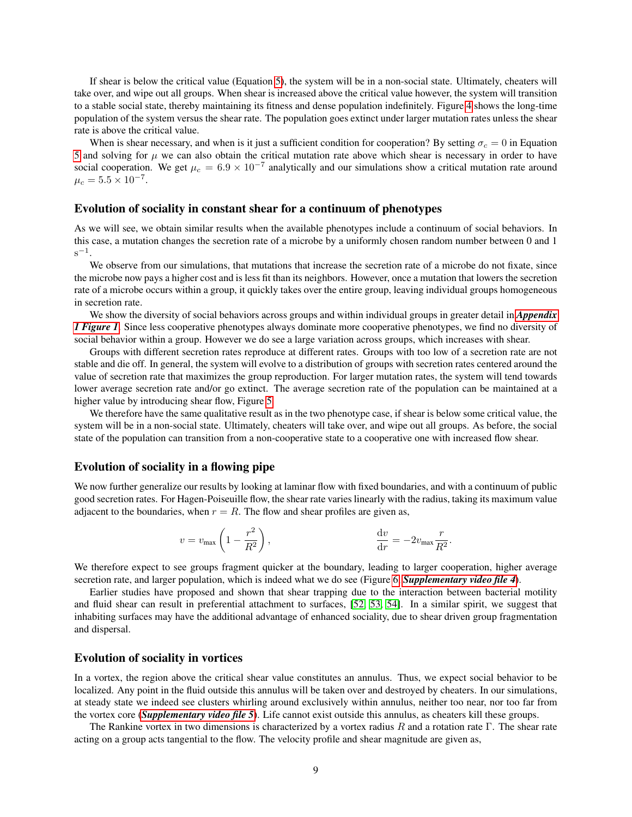If shear is below the critical value (Equation [5\)](#page-6-0), the system will be in a non-social state. Ultimately, cheaters will take over, and wipe out all groups. When shear is increased above the critical value however, the system will transition to a stable social state, thereby maintaining its fitness and dense population indefinitely. Figure [4](#page-7-0) shows the long-time population of the system versus the shear rate. The population goes extinct under larger mutation rates unless the shear rate is above the critical value.

When is shear necessary, and when is it just a sufficient condition for cooperation? By setting  $\sigma_c = 0$  in Equation [5](#page-6-0) and solving for  $\mu$  we can also obtain the critical mutation rate above which shear is necessary in order to have social cooperation. We get  $\mu_c = 6.9 \times 10^{-7}$  analytically and our simulations show a critical mutation rate around  $\mu_c = 5.5 \times 10^{-7}$ .

### Evolution of sociality in constant shear for a continuum of phenotypes

As we will see, we obtain similar results when the available phenotypes include a continuum of social behaviors. In this case, a mutation changes the secretion rate of a microbe by a uniformly chosen random number between 0 and 1  $s^{-1}$ .

We observe from our simulations, that mutations that increase the secretion rate of a microbe do not fixate, since the microbe now pays a higher cost and is less fit than its neighbors. However, once a mutation that lowers the secretion rate of a microbe occurs within a group, it quickly takes over the entire group, leaving individual groups homogeneous in secretion rate.

We show the diversity of social behaviors across groups and within individual groups in greater detail in *[Appendix](#page-17-0) [1 Figure 1](#page-17-0)*. Since less cooperative phenotypes always dominate more cooperative phenotypes, we find no diversity of social behavior within a group. However we do see a large variation across groups, which increases with shear.

Groups with different secretion rates reproduce at different rates. Groups with too low of a secretion rate are not stable and die off. In general, the system will evolve to a distribution of groups with secretion rates centered around the value of secretion rate that maximizes the group reproduction. For larger mutation rates, the system will tend towards lower average secretion rate and/or go extinct. The average secretion rate of the population can be maintained at a higher value by introducing shear flow, Figure [5.](#page-9-0)

We therefore have the same qualitative result as in the two phenotype case, if shear is below some critical value, the system will be in a non-social state. Ultimately, cheaters will take over, and wipe out all groups. As before, the social state of the population can transition from a non-cooperative state to a cooperative one with increased flow shear.

#### Evolution of sociality in a flowing pipe

We now further generalize our results by looking at laminar flow with fixed boundaries, and with a continuum of public good secretion rates. For Hagen-Poiseuille flow, the shear rate varies linearly with the radius, taking its maximum value adjacent to the boundaries, when  $r = R$ . The flow and shear profiles are given as,

$$
v = v_{\text{max}} \left( 1 - \frac{r^2}{R^2} \right), \qquad \frac{\mathrm{d}v}{\mathrm{d}r} = -2v_{\text{max}} \frac{r}{R^2}.
$$

We therefore expect to see groups fragment quicker at the boundary, leading to larger cooperation, higher average secretion rate, and larger population, which is indeed what we do see (Figure [6,](#page-10-0) *[Supplementary video file 4](#page-12-0)*).

Earlier studies have proposed and shown that shear trapping due to the interaction between bacterial motility and fluid shear can result in preferential attachment to surfaces, [\[52,](#page-15-14) [53,](#page-15-15) [54\]](#page-15-16). In a similar spirit, we suggest that inhabiting surfaces may have the additional advantage of enhanced sociality, due to shear driven group fragmentation and dispersal.

#### Evolution of sociality in vortices

In a vortex, the region above the critical shear value constitutes an annulus. Thus, we expect social behavior to be localized. Any point in the fluid outside this annulus will be taken over and destroyed by cheaters. In our simulations, at steady state we indeed see clusters whirling around exclusively within annulus, neither too near, nor too far from the vortex core (*[Supplementary video file 5](#page-12-0)*). Life cannot exist outside this annulus, as cheaters kill these groups.

The Rankine vortex in two dimensions is characterized by a vortex radius R and a rotation rate Γ. The shear rate acting on a group acts tangential to the flow. The velocity profile and shear magnitude are given as,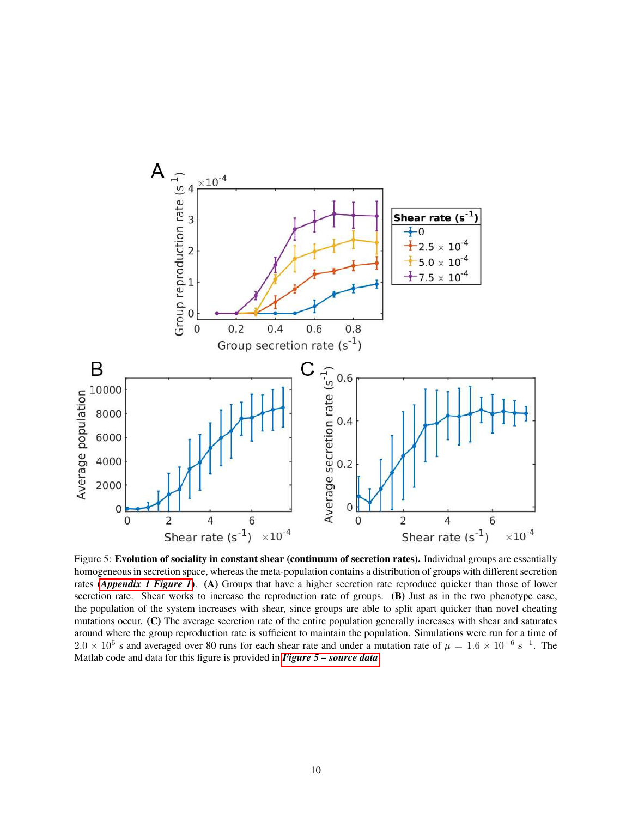<span id="page-9-0"></span>

Figure 5: Evolution of sociality in constant shear (continuum of secretion rates). Individual groups are essentially homogeneous in secretion space, whereas the meta-population contains a distribution of groups with different secretion rates (*[Appendix 1 Figure 1](#page-17-0)*). (A) Groups that have a higher secretion rate reproduce quicker than those of lower secretion rate. Shear works to increase the reproduction rate of groups. (B) Just as in the two phenotype case, the population of the system increases with shear, since groups are able to split apart quicker than novel cheating mutations occur. (C) The average secretion rate of the entire population generally increases with shear and saturates around where the group reproduction rate is sufficient to maintain the population. Simulations were run for a time of  $2.0 \times 10^5$  s and averaged over 80 runs for each shear rate and under a mutation rate of  $\mu = 1.6 \times 10^{-6}$  s<sup>-1</sup>. The Matlab code and data for this figure is provided in *[Figure 5 – source data](#page-12-0)*.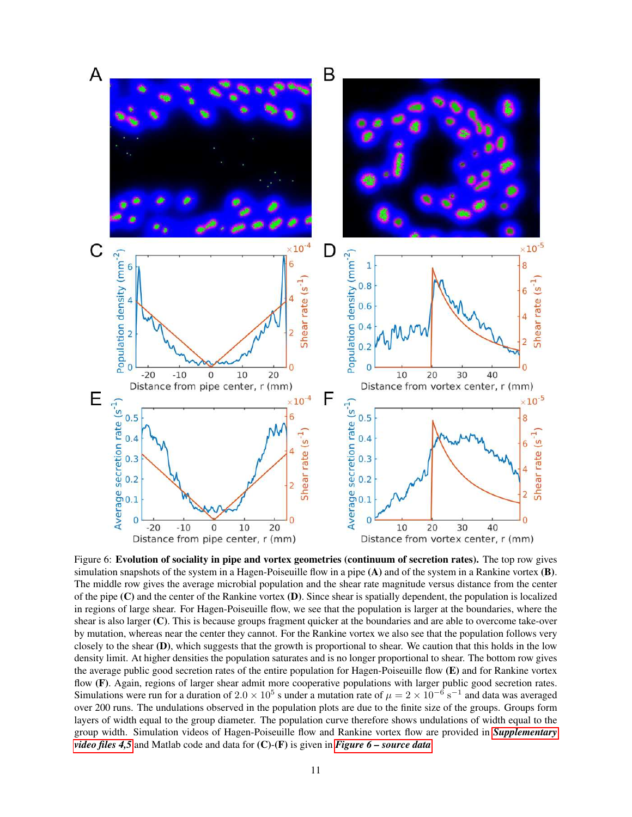<span id="page-10-0"></span>

Figure 6: Evolution of sociality in pipe and vortex geometries (continuum of secretion rates). The top row gives simulation snapshots of the system in a Hagen-Poiseuille flow in a pipe (A) and of the system in a Rankine vortex (B). The middle row gives the average microbial population and the shear rate magnitude versus distance from the center of the pipe  $(C)$  and the center of the Rankine vortex  $(D)$ . Since shear is spatially dependent, the population is localized in regions of large shear. For Hagen-Poiseuille flow, we see that the population is larger at the boundaries, where the shear is also larger (C). This is because groups fragment quicker at the boundaries and are able to overcome take-over by mutation, whereas near the center they cannot. For the Rankine vortex we also see that the population follows very closely to the shear (D), which suggests that the growth is proportional to shear. We caution that this holds in the low density limit. At higher densities the population saturates and is no longer proportional to shear. The bottom row gives the average public good secretion rates of the entire population for Hagen-Poiseuille flow (E) and for Rankine vortex flow (F). Again, regions of larger shear admit more cooperative populations with larger public good secretion rates. Simulations were run for a duration of  $2.0 \times 10^5$  s under a mutation rate of  $\mu = 2 \times 10^{-6}$  s<sup>-1</sup> and data was averaged over 200 runs. The undulations observed in the population plots are due to the finite size of the groups. Groups form layers of width equal to the group diameter. The population curve therefore shows undulations of width equal to the group width. Simulation videos of Hagen-Poiseuille flow and Rankine vortex flow are provided in *[Supplementary](#page-12-0) [video files 4,5](#page-12-0)* and Matlab code and data for (C)-(F) is given in *[Figure 6 – source data](#page-12-0)*.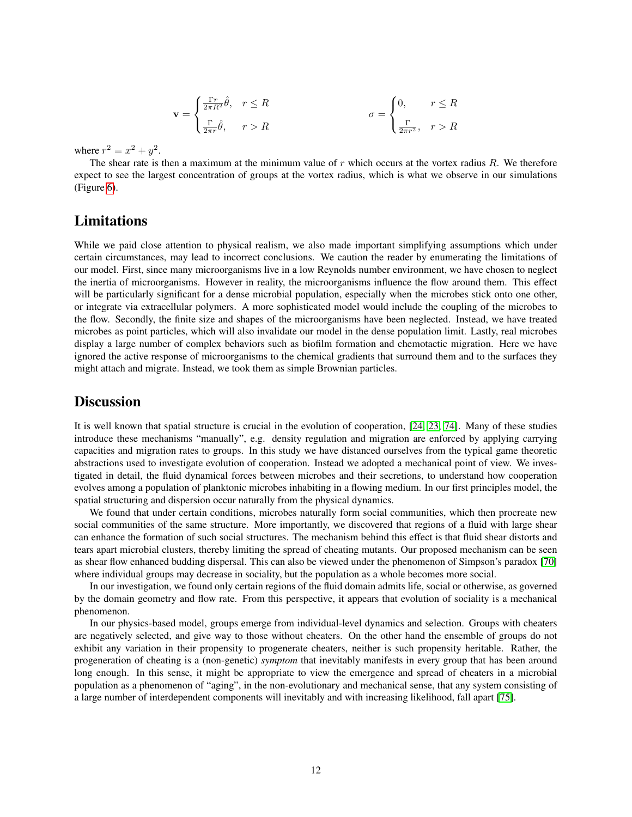$$
\mathbf{v} = \begin{cases} \frac{\Gamma r}{2\pi R^2} \hat{\theta}, & r \le R \\ \frac{\Gamma}{2\pi r} \hat{\theta}, & r > R \end{cases} \qquad \qquad \sigma = \begin{cases} 0, & r \le R \\ \frac{\Gamma}{2\pi r^2}, & r > R \end{cases}
$$

where  $r^2 = x^2 + y^2$ .

The shear rate is then a maximum at the minimum value of  $r$  which occurs at the vortex radius  $R$ . We therefore expect to see the largest concentration of groups at the vortex radius, which is what we observe in our simulations (Figure [6\)](#page-10-0).

### Limitations

While we paid close attention to physical realism, we also made important simplifying assumptions which under certain circumstances, may lead to incorrect conclusions. We caution the reader by enumerating the limitations of our model. First, since many microorganisms live in a low Reynolds number environment, we have chosen to neglect the inertia of microorganisms. However in reality, the microorganisms influence the flow around them. This effect will be particularly significant for a dense microbial population, especially when the microbes stick onto one other, or integrate via extracellular polymers. A more sophisticated model would include the coupling of the microbes to the flow. Secondly, the finite size and shapes of the microorganisms have been neglected. Instead, we have treated microbes as point particles, which will also invalidate our model in the dense population limit. Lastly, real microbes display a large number of complex behaviors such as biofilm formation and chemotactic migration. Here we have ignored the active response of microorganisms to the chemical gradients that surround them and to the surfaces they might attach and migrate. Instead, we took them as simple Brownian particles.

### **Discussion**

It is well known that spatial structure is crucial in the evolution of cooperation, [\[24,](#page-14-8) [23,](#page-14-7) [74\]](#page-16-17). Many of these studies introduce these mechanisms "manually", e.g. density regulation and migration are enforced by applying carrying capacities and migration rates to groups. In this study we have distanced ourselves from the typical game theoretic abstractions used to investigate evolution of cooperation. Instead we adopted a mechanical point of view. We investigated in detail, the fluid dynamical forces between microbes and their secretions, to understand how cooperation evolves among a population of planktonic microbes inhabiting in a flowing medium. In our first principles model, the spatial structuring and dispersion occur naturally from the physical dynamics.

We found that under certain conditions, microbes naturally form social communities, which then procreate new social communities of the same structure. More importantly, we discovered that regions of a fluid with large shear can enhance the formation of such social structures. The mechanism behind this effect is that fluid shear distorts and tears apart microbial clusters, thereby limiting the spread of cheating mutants. Our proposed mechanism can be seen as shear flow enhanced budding dispersal. This can also be viewed under the phenomenon of Simpson's paradox [\[70\]](#page-16-13) where individual groups may decrease in sociality, but the population as a whole becomes more social.

In our investigation, we found only certain regions of the fluid domain admits life, social or otherwise, as governed by the domain geometry and flow rate. From this perspective, it appears that evolution of sociality is a mechanical phenomenon.

In our physics-based model, groups emerge from individual-level dynamics and selection. Groups with cheaters are negatively selected, and give way to those without cheaters. On the other hand the ensemble of groups do not exhibit any variation in their propensity to progenerate cheaters, neither is such propensity heritable. Rather, the progeneration of cheating is a (non-genetic) *symptom* that inevitably manifests in every group that has been around long enough. In this sense, it might be appropriate to view the emergence and spread of cheaters in a microbial population as a phenomenon of "aging", in the non-evolutionary and mechanical sense, that any system consisting of a large number of interdependent components will inevitably and with increasing likelihood, fall apart [\[75\]](#page-16-18).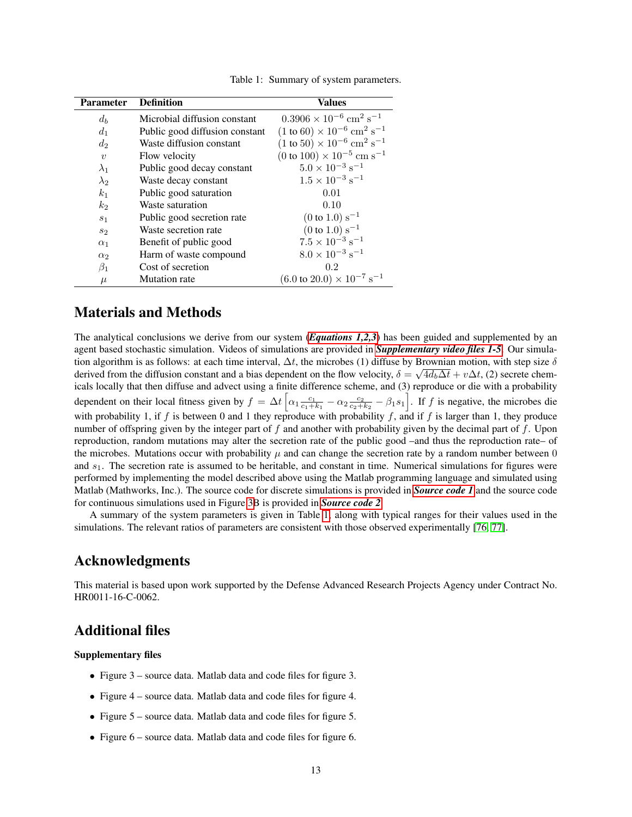<span id="page-12-1"></span>

| <b>Parameter</b> | <b>Definition</b>              | <b>Values</b>                                                   |
|------------------|--------------------------------|-----------------------------------------------------------------|
| $d_b$            | Microbial diffusion constant   | $0.3906 \times 10^{-6}$ cm <sup>2</sup> s <sup>-1</sup>         |
| $d_1$            | Public good diffusion constant | $(1 \text{ to } 60) \times 10^{-6} \text{ cm}^2 \text{ s}^{-1}$ |
| $d_2$            | Waste diffusion constant       | $(1 \text{ to } 50) \times 10^{-6} \text{ cm}^2 \text{ s}^{-1}$ |
| $\boldsymbol{v}$ | Flow velocity                  | $(0 \text{ to } 100) \times 10^{-5} \text{ cm s}^{-1}$          |
| $\lambda_1$      | Public good decay constant     | $5.0 \times 10^{-3}$ s <sup>-1</sup>                            |
| $\lambda_2$      | Waste decay constant           | $1.5\times10^{-3}\;\rm{s}^{-1}$                                 |
| k <sub>1</sub>   | Public good saturation         | 0.01                                                            |
| $k_2$            | Waste saturation               | 0.10                                                            |
| S <sub>1</sub>   | Public good secretion rate     | $(0 \text{ to } 1.0) \text{ s}^{-1}$                            |
| $s_2$            | Waste secretion rate           | $(0 \text{ to } 1.0) \text{ s}^{-1}$                            |
| $\alpha_1$       | Benefit of public good         | $7.5 \times 10^{-3} \text{ s}^{-1}$                             |
| $\alpha_2$       | Harm of waste compound         | $8.0\times10^{-3}~\mathrm{s}^{-1}$                              |
| $\beta_1$        | Cost of secretion              | 0.2                                                             |
| $\mu$            | Mutation rate                  | $(6.0 \text{ to } 20.0) \times 10^{-7} \text{ s}^{-1}$          |

Table 1: Summary of system parameters.

### Materials and Methods

The analytical conclusions we derive from our system (*[Equations 1,2,3](#page-2-0)*) has been guided and supplemented by an agent based stochastic simulation. Videos of simulations are provided in *[Supplementary video files 1-5](#page-12-0)*. Our simulation algorithm is as follows: at each time interval,  $\Delta t$ , the microbes (1) diffuse by Brownian motion, with step size  $\delta$ derived from the diffusion constant and a bias dependent on the flow velocity,  $\delta = \sqrt{4d_b\Delta t + v\Delta t}$ , (2) secrete chemicals locally that then diffuse and advect using a finite difference scheme, and (3) reproduce or die with a probability dependent on their local fitness given by  $f = \Delta t \left[ \alpha_1 \frac{c_1}{c_1 + k_1} - \alpha_2 \frac{c_2}{c_2 + k_2} - \beta_1 s_1 \right]$ . If f is negative, the microbes die with probability 1, if f is between 0 and 1 they reproduce with probability f, and if f is larger than 1, they produce number of offspring given by the integer part of  $f$  and another with probability given by the decimal part of  $f$ . Upon reproduction, random mutations may alter the secretion rate of the public good –and thus the reproduction rate– of the microbes. Mutations occur with probability  $\mu$  and can change the secretion rate by a random number between 0 and  $s<sub>1</sub>$ . The secretion rate is assumed to be heritable, and constant in time. Numerical simulations for figures were performed by implementing the model described above using the Matlab programming language and simulated using Matlab (Mathworks, Inc.). The source code for discrete simulations is provided in *[Source code 1](#page-12-0)* and the source code for continuous simulations used in Figure [3B](#page-5-0) is provided in *[Source code 2](#page-12-0)*.

A summary of the system parameters is given in Table [1,](#page-12-1) along with typical ranges for their values used in the simulations. The relevant ratios of parameters are consistent with those observed experimentally [\[76,](#page-16-19) [77\]](#page-16-20).

## Acknowledgments

This material is based upon work supported by the Defense Advanced Research Projects Agency under Contract No. HR0011-16-C-0062.

### <span id="page-12-0"></span>Additional files

#### Supplementary files

- Figure 3 source data. Matlab data and code files for figure 3.
- Figure 4 source data. Matlab data and code files for figure 4.
- Figure 5 source data. Matlab data and code files for figure 5.
- Figure 6 source data. Matlab data and code files for figure 6.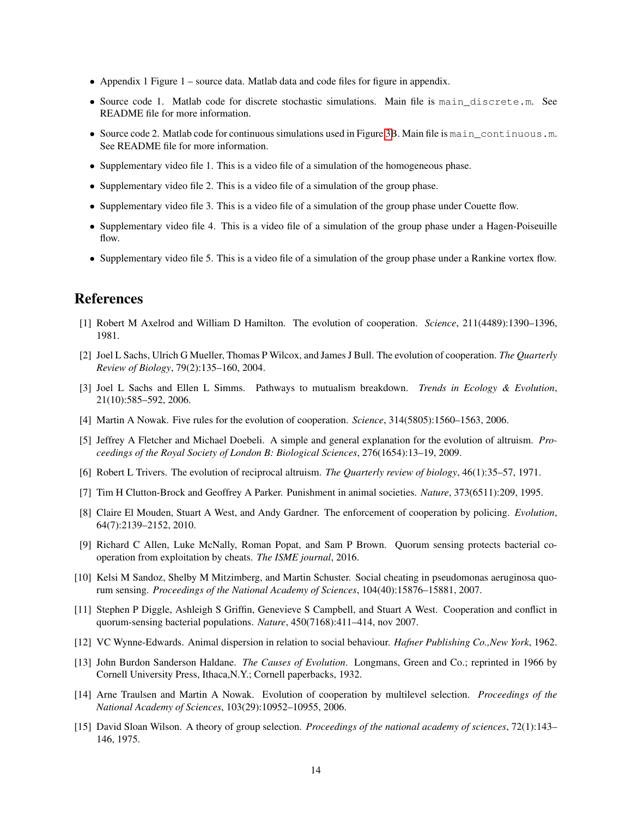- Appendix 1 Figure 1 source data. Matlab data and code files for figure in appendix.
- Source code 1. Matlab code for discrete stochastic simulations. Main file is main\_discrete.m. See README file for more information.
- Source code 2. Matlab code for continuous simulations used in Figure [3B](#page-5-0). Main file is main continuous.m. See README file for more information.
- Supplementary video file 1. This is a video file of a simulation of the homogeneous phase.
- Supplementary video file 2. This is a video file of a simulation of the group phase.
- Supplementary video file 3. This is a video file of a simulation of the group phase under Couette flow.
- Supplementary video file 4. This is a video file of a simulation of the group phase under a Hagen-Poiseuille flow.
- Supplementary video file 5. This is a video file of a simulation of the group phase under a Rankine vortex flow.

### References

- <span id="page-13-0"></span>[1] Robert M Axelrod and William D Hamilton. The evolution of cooperation. *Science*, 211(4489):1390–1396, 1981.
- <span id="page-13-1"></span>[2] Joel L Sachs, Ulrich G Mueller, Thomas P Wilcox, and James J Bull. The evolution of cooperation. *The Quarterly Review of Biology*, 79(2):135–160, 2004.
- <span id="page-13-2"></span>[3] Joel L Sachs and Ellen L Simms. Pathways to mutualism breakdown. *Trends in Ecology & Evolution*, 21(10):585–592, 2006.
- <span id="page-13-3"></span>[4] Martin A Nowak. Five rules for the evolution of cooperation. *Science*, 314(5805):1560–1563, 2006.
- <span id="page-13-4"></span>[5] Jeffrey A Fletcher and Michael Doebeli. A simple and general explanation for the evolution of altruism. *Proceedings of the Royal Society of London B: Biological Sciences*, 276(1654):13–19, 2009.
- <span id="page-13-5"></span>[6] Robert L Trivers. The evolution of reciprocal altruism. *The Quarterly review of biology*, 46(1):35–57, 1971.
- <span id="page-13-6"></span>[7] Tim H Clutton-Brock and Geoffrey A Parker. Punishment in animal societies. *Nature*, 373(6511):209, 1995.
- <span id="page-13-7"></span>[8] Claire El Mouden, Stuart A West, and Andy Gardner. The enforcement of cooperation by policing. *Evolution*, 64(7):2139–2152, 2010.
- <span id="page-13-8"></span>[9] Richard C Allen, Luke McNally, Roman Popat, and Sam P Brown. Quorum sensing protects bacterial cooperation from exploitation by cheats. *The ISME journal*, 2016.
- <span id="page-13-9"></span>[10] Kelsi M Sandoz, Shelby M Mitzimberg, and Martin Schuster. Social cheating in pseudomonas aeruginosa quorum sensing. *Proceedings of the National Academy of Sciences*, 104(40):15876–15881, 2007.
- <span id="page-13-10"></span>[11] Stephen P Diggle, Ashleigh S Griffin, Genevieve S Campbell, and Stuart A West. Cooperation and conflict in quorum-sensing bacterial populations. *Nature*, 450(7168):411–414, nov 2007.
- <span id="page-13-11"></span>[12] VC Wynne-Edwards. Animal dispersion in relation to social behaviour. *Hafner Publishing Co.,New York*, 1962.
- <span id="page-13-12"></span>[13] John Burdon Sanderson Haldane. *The Causes of Evolution*. Longmans, Green and Co.; reprinted in 1966 by Cornell University Press, Ithaca,N.Y.; Cornell paperbacks, 1932.
- <span id="page-13-13"></span>[14] Arne Traulsen and Martin A Nowak. Evolution of cooperation by multilevel selection. *Proceedings of the National Academy of Sciences*, 103(29):10952–10955, 2006.
- <span id="page-13-14"></span>[15] David Sloan Wilson. A theory of group selection. *Proceedings of the national academy of sciences*, 72(1):143– 146, 1975.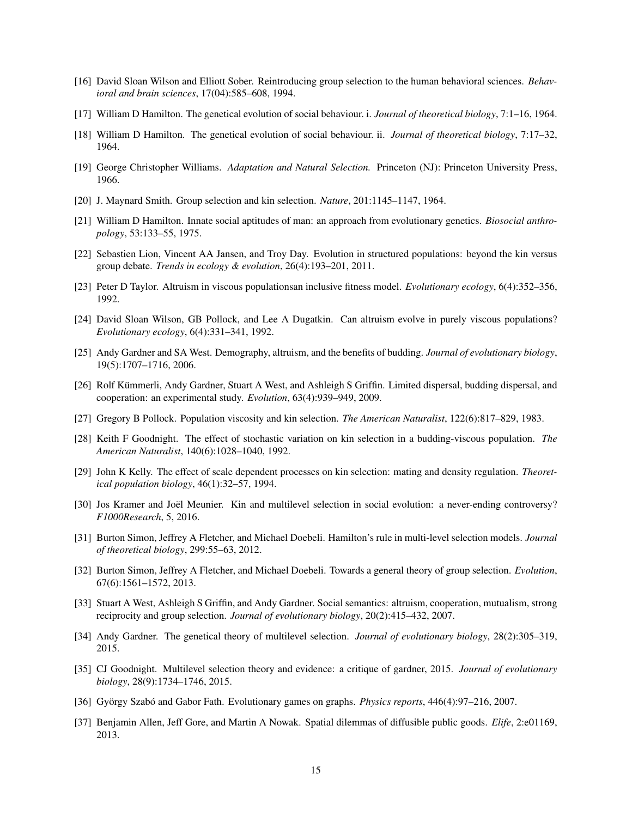- <span id="page-14-0"></span>[16] David Sloan Wilson and Elliott Sober. Reintroducing group selection to the human behavioral sciences. *Behavioral and brain sciences*, 17(04):585–608, 1994.
- <span id="page-14-1"></span>[17] William D Hamilton. The genetical evolution of social behaviour. i. *Journal of theoretical biology*, 7:1–16, 1964.
- <span id="page-14-2"></span>[18] William D Hamilton. The genetical evolution of social behaviour. ii. *Journal of theoretical biology*, 7:17–32, 1964.
- <span id="page-14-3"></span>[19] George Christopher Williams. *Adaptation and Natural Selection.* Princeton (NJ): Princeton University Press, 1966.
- <span id="page-14-4"></span>[20] J. Maynard Smith. Group selection and kin selection. *Nature*, 201:1145–1147, 1964.
- <span id="page-14-5"></span>[21] William D Hamilton. Innate social aptitudes of man: an approach from evolutionary genetics. *Biosocial anthropology*, 53:133–55, 1975.
- <span id="page-14-6"></span>[22] Sebastien Lion, Vincent AA Jansen, and Troy Day. Evolution in structured populations: beyond the kin versus group debate. *Trends in ecology & evolution*, 26(4):193–201, 2011.
- <span id="page-14-7"></span>[23] Peter D Taylor. Altruism in viscous populationsan inclusive fitness model. *Evolutionary ecology*, 6(4):352–356, 1992.
- <span id="page-14-8"></span>[24] David Sloan Wilson, GB Pollock, and Lee A Dugatkin. Can altruism evolve in purely viscous populations? *Evolutionary ecology*, 6(4):331–341, 1992.
- <span id="page-14-9"></span>[25] Andy Gardner and SA West. Demography, altruism, and the benefits of budding. *Journal of evolutionary biology*, 19(5):1707–1716, 2006.
- <span id="page-14-10"></span>[26] Rolf Kümmerli, Andy Gardner, Stuart A West, and Ashleigh S Griffin. Limited dispersal, budding dispersal, and cooperation: an experimental study. *Evolution*, 63(4):939–949, 2009.
- <span id="page-14-11"></span>[27] Gregory B Pollock. Population viscosity and kin selection. *The American Naturalist*, 122(6):817–829, 1983.
- <span id="page-14-12"></span>[28] Keith F Goodnight. The effect of stochastic variation on kin selection in a budding-viscous population. *The American Naturalist*, 140(6):1028–1040, 1992.
- <span id="page-14-13"></span>[29] John K Kelly. The effect of scale dependent processes on kin selection: mating and density regulation. *Theoretical population biology*, 46(1):32–57, 1994.
- <span id="page-14-14"></span>[30] Jos Kramer and Joël Meunier. Kin and multilevel selection in social evolution: a never-ending controversy? *F1000Research*, 5, 2016.
- <span id="page-14-15"></span>[31] Burton Simon, Jeffrey A Fletcher, and Michael Doebeli. Hamilton's rule in multi-level selection models. *Journal of theoretical biology*, 299:55–63, 2012.
- <span id="page-14-16"></span>[32] Burton Simon, Jeffrey A Fletcher, and Michael Doebeli. Towards a general theory of group selection. *Evolution*, 67(6):1561–1572, 2013.
- <span id="page-14-17"></span>[33] Stuart A West, Ashleigh S Griffin, and Andy Gardner. Social semantics: altruism, cooperation, mutualism, strong reciprocity and group selection. *Journal of evolutionary biology*, 20(2):415–432, 2007.
- <span id="page-14-18"></span>[34] Andy Gardner. The genetical theory of multilevel selection. *Journal of evolutionary biology*, 28(2):305–319, 2015.
- <span id="page-14-19"></span>[35] CJ Goodnight. Multilevel selection theory and evidence: a critique of gardner, 2015. *Journal of evolutionary biology*, 28(9):1734–1746, 2015.
- <span id="page-14-20"></span>[36] György Szabó and Gabor Fath. Evolutionary games on graphs. *Physics reports*, 446(4):97–216, 2007.
- <span id="page-14-21"></span>[37] Benjamin Allen, Jeff Gore, and Martin A Nowak. Spatial dilemmas of diffusible public goods. *Elife*, 2:e01169, 2013.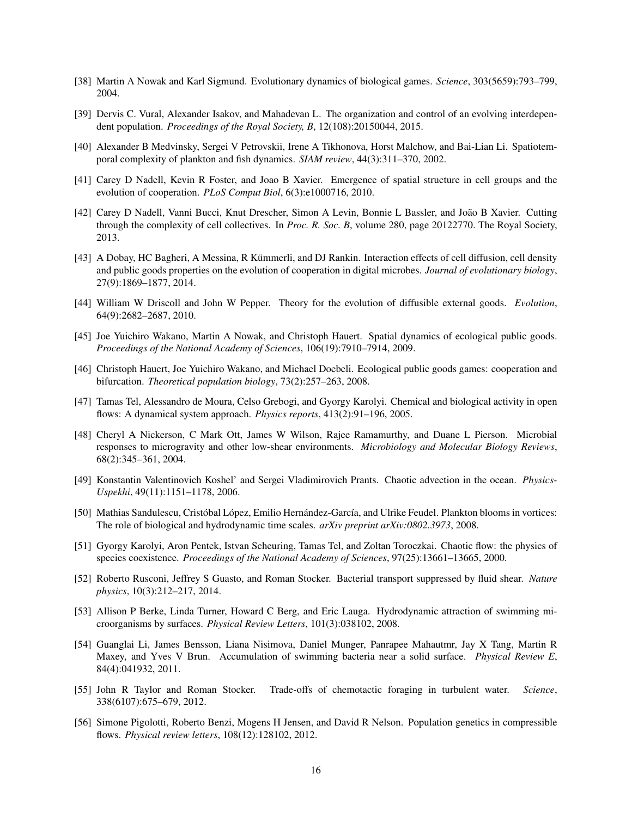- <span id="page-15-0"></span>[38] Martin A Nowak and Karl Sigmund. Evolutionary dynamics of biological games. *Science*, 303(5659):793–799, 2004.
- <span id="page-15-1"></span>[39] Dervis C. Vural, Alexander Isakov, and Mahadevan L. The organization and control of an evolving interdependent population. *Proceedings of the Royal Society, B*, 12(108):20150044, 2015.
- <span id="page-15-2"></span>[40] Alexander B Medvinsky, Sergei V Petrovskii, Irene A Tikhonova, Horst Malchow, and Bai-Lian Li. Spatiotemporal complexity of plankton and fish dynamics. *SIAM review*, 44(3):311–370, 2002.
- <span id="page-15-3"></span>[41] Carey D Nadell, Kevin R Foster, and Joao B Xavier. Emergence of spatial structure in cell groups and the evolution of cooperation. *PLoS Comput Biol*, 6(3):e1000716, 2010.
- <span id="page-15-4"></span>[42] Carey D Nadell, Vanni Bucci, Knut Drescher, Simon A Levin, Bonnie L Bassler, and João B Xavier. Cutting through the complexity of cell collectives. In *Proc. R. Soc. B*, volume 280, page 20122770. The Royal Society, 2013.
- <span id="page-15-5"></span>[43] A Dobay, HC Bagheri, A Messina, R Kümmerli, and DJ Rankin. Interaction effects of cell diffusion, cell density and public goods properties on the evolution of cooperation in digital microbes. *Journal of evolutionary biology*, 27(9):1869–1877, 2014.
- <span id="page-15-6"></span>[44] William W Driscoll and John W Pepper. Theory for the evolution of diffusible external goods. *Evolution*, 64(9):2682–2687, 2010.
- <span id="page-15-7"></span>[45] Joe Yuichiro Wakano, Martin A Nowak, and Christoph Hauert. Spatial dynamics of ecological public goods. *Proceedings of the National Academy of Sciences*, 106(19):7910–7914, 2009.
- <span id="page-15-8"></span>[46] Christoph Hauert, Joe Yuichiro Wakano, and Michael Doebeli. Ecological public goods games: cooperation and bifurcation. *Theoretical population biology*, 73(2):257–263, 2008.
- <span id="page-15-9"></span>[47] Tamas Tel, Alessandro de Moura, Celso Grebogi, and Gyorgy Karolyi. Chemical and biological activity in open flows: A dynamical system approach. *Physics reports*, 413(2):91–196, 2005.
- <span id="page-15-10"></span>[48] Cheryl A Nickerson, C Mark Ott, James W Wilson, Rajee Ramamurthy, and Duane L Pierson. Microbial responses to microgravity and other low-shear environments. *Microbiology and Molecular Biology Reviews*, 68(2):345–361, 2004.
- <span id="page-15-11"></span>[49] Konstantin Valentinovich Koshel' and Sergei Vladimirovich Prants. Chaotic advection in the ocean. *Physics-Uspekhi*, 49(11):1151–1178, 2006.
- <span id="page-15-12"></span>[50] Mathias Sandulescu, Cristóbal López, Emilio Hernández-García, and Ulrike Feudel. Plankton blooms in vortices: The role of biological and hydrodynamic time scales. *arXiv preprint arXiv:0802.3973*, 2008.
- <span id="page-15-13"></span>[51] Gyorgy Karolyi, Aron Pentek, Istvan Scheuring, Tamas Tel, and Zoltan Toroczkai. Chaotic flow: the physics of species coexistence. *Proceedings of the National Academy of Sciences*, 97(25):13661–13665, 2000.
- <span id="page-15-14"></span>[52] Roberto Rusconi, Jeffrey S Guasto, and Roman Stocker. Bacterial transport suppressed by fluid shear. *Nature physics*, 10(3):212–217, 2014.
- <span id="page-15-15"></span>[53] Allison P Berke, Linda Turner, Howard C Berg, and Eric Lauga. Hydrodynamic attraction of swimming microorganisms by surfaces. *Physical Review Letters*, 101(3):038102, 2008.
- <span id="page-15-16"></span>[54] Guanglai Li, James Bensson, Liana Nisimova, Daniel Munger, Panrapee Mahautmr, Jay X Tang, Martin R Maxey, and Yves V Brun. Accumulation of swimming bacteria near a solid surface. *Physical Review E*, 84(4):041932, 2011.
- <span id="page-15-17"></span>[55] John R Taylor and Roman Stocker. Trade-offs of chemotactic foraging in turbulent water. *Science*, 338(6107):675–679, 2012.
- <span id="page-15-18"></span>[56] Simone Pigolotti, Roberto Benzi, Mogens H Jensen, and David R Nelson. Population genetics in compressible flows. *Physical review letters*, 108(12):128102, 2012.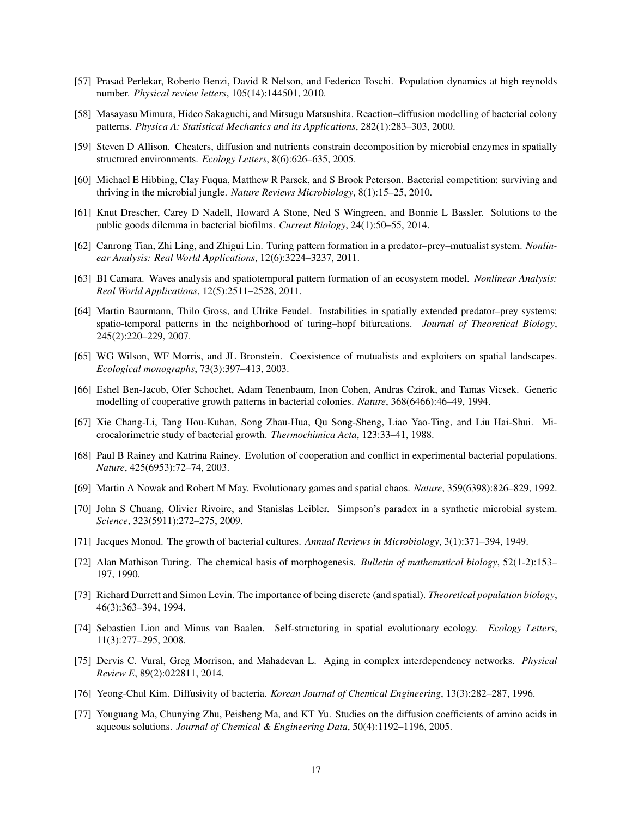- <span id="page-16-0"></span>[57] Prasad Perlekar, Roberto Benzi, David R Nelson, and Federico Toschi. Population dynamics at high reynolds number. *Physical review letters*, 105(14):144501, 2010.
- <span id="page-16-1"></span>[58] Masayasu Mimura, Hideo Sakaguchi, and Mitsugu Matsushita. Reaction–diffusion modelling of bacterial colony patterns. *Physica A: Statistical Mechanics and its Applications*, 282(1):283–303, 2000.
- <span id="page-16-2"></span>[59] Steven D Allison. Cheaters, diffusion and nutrients constrain decomposition by microbial enzymes in spatially structured environments. *Ecology Letters*, 8(6):626–635, 2005.
- <span id="page-16-3"></span>[60] Michael E Hibbing, Clay Fuqua, Matthew R Parsek, and S Brook Peterson. Bacterial competition: surviving and thriving in the microbial jungle. *Nature Reviews Microbiology*, 8(1):15–25, 2010.
- <span id="page-16-4"></span>[61] Knut Drescher, Carey D Nadell, Howard A Stone, Ned S Wingreen, and Bonnie L Bassler. Solutions to the public goods dilemma in bacterial biofilms. *Current Biology*, 24(1):50–55, 2014.
- <span id="page-16-5"></span>[62] Canrong Tian, Zhi Ling, and Zhigui Lin. Turing pattern formation in a predator–prey–mutualist system. *Nonlinear Analysis: Real World Applications*, 12(6):3224–3237, 2011.
- <span id="page-16-6"></span>[63] BI Camara. Waves analysis and spatiotemporal pattern formation of an ecosystem model. *Nonlinear Analysis: Real World Applications*, 12(5):2511–2528, 2011.
- <span id="page-16-7"></span>[64] Martin Baurmann, Thilo Gross, and Ulrike Feudel. Instabilities in spatially extended predator–prey systems: spatio-temporal patterns in the neighborhood of turing–hopf bifurcations. *Journal of Theoretical Biology*, 245(2):220–229, 2007.
- <span id="page-16-8"></span>[65] WG Wilson, WF Morris, and JL Bronstein. Coexistence of mutualists and exploiters on spatial landscapes. *Ecological monographs*, 73(3):397–413, 2003.
- <span id="page-16-9"></span>[66] Eshel Ben-Jacob, Ofer Schochet, Adam Tenenbaum, Inon Cohen, Andras Czirok, and Tamas Vicsek. Generic modelling of cooperative growth patterns in bacterial colonies. *Nature*, 368(6466):46–49, 1994.
- <span id="page-16-10"></span>[67] Xie Chang-Li, Tang Hou-Kuhan, Song Zhau-Hua, Qu Song-Sheng, Liao Yao-Ting, and Liu Hai-Shui. Microcalorimetric study of bacterial growth. *Thermochimica Acta*, 123:33–41, 1988.
- <span id="page-16-11"></span>[68] Paul B Rainey and Katrina Rainey. Evolution of cooperation and conflict in experimental bacterial populations. *Nature*, 425(6953):72–74, 2003.
- <span id="page-16-12"></span>[69] Martin A Nowak and Robert M May. Evolutionary games and spatial chaos. *Nature*, 359(6398):826–829, 1992.
- <span id="page-16-13"></span>[70] John S Chuang, Olivier Rivoire, and Stanislas Leibler. Simpson's paradox in a synthetic microbial system. *Science*, 323(5911):272–275, 2009.
- <span id="page-16-14"></span>[71] Jacques Monod. The growth of bacterial cultures. *Annual Reviews in Microbiology*, 3(1):371–394, 1949.
- <span id="page-16-15"></span>[72] Alan Mathison Turing. The chemical basis of morphogenesis. *Bulletin of mathematical biology*, 52(1-2):153– 197, 1990.
- <span id="page-16-16"></span>[73] Richard Durrett and Simon Levin. The importance of being discrete (and spatial). *Theoretical population biology*, 46(3):363–394, 1994.
- <span id="page-16-17"></span>[74] Sebastien Lion and Minus van Baalen. Self-structuring in spatial evolutionary ecology. *Ecology Letters*, 11(3):277–295, 2008.
- <span id="page-16-18"></span>[75] Dervis C. Vural, Greg Morrison, and Mahadevan L. Aging in complex interdependency networks. *Physical Review E*, 89(2):022811, 2014.
- <span id="page-16-19"></span>[76] Yeong-Chul Kim. Diffusivity of bacteria. *Korean Journal of Chemical Engineering*, 13(3):282–287, 1996.
- <span id="page-16-20"></span>[77] Youguang Ma, Chunying Zhu, Peisheng Ma, and KT Yu. Studies on the diffusion coefficients of amino acids in aqueous solutions. *Journal of Chemical & Engineering Data*, 50(4):1192–1196, 2005.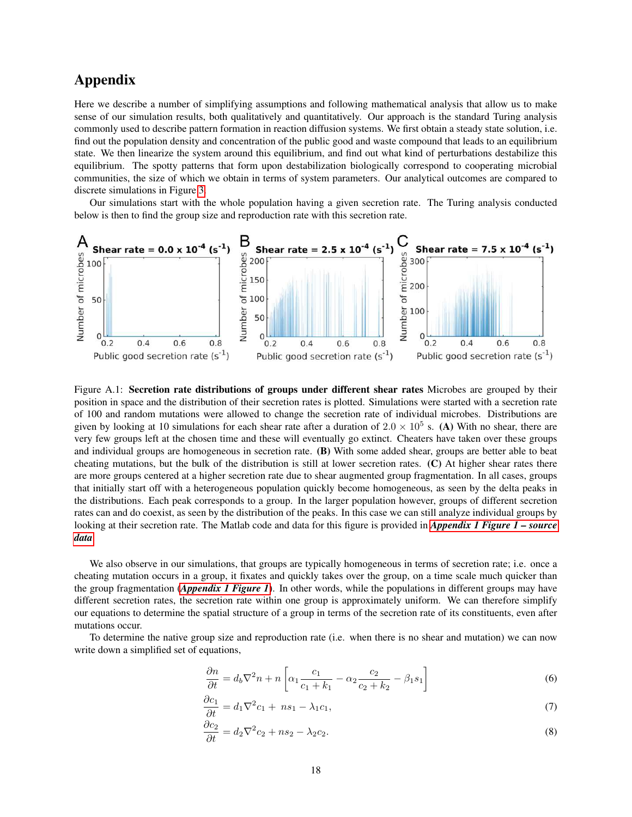### <span id="page-17-0"></span>Appendix

Here we describe a number of simplifying assumptions and following mathematical analysis that allow us to make sense of our simulation results, both qualitatively and quantitatively. Our approach is the standard Turing analysis commonly used to describe pattern formation in reaction diffusion systems. We first obtain a steady state solution, i.e. find out the population density and concentration of the public good and waste compound that leads to an equilibrium state. We then linearize the system around this equilibrium, and find out what kind of perturbations destabilize this equilibrium. The spotty patterns that form upon destabilization biologically correspond to cooperating microbial communities, the size of which we obtain in terms of system parameters. Our analytical outcomes are compared to discrete simulations in Figure [3.](#page-5-0)

Our simulations start with the whole population having a given secretion rate. The Turing analysis conducted below is then to find the group size and reproduction rate with this secretion rate.



Figure A.1: Secretion rate distributions of groups under different shear rates Microbes are grouped by their position in space and the distribution of their secretion rates is plotted. Simulations were started with a secretion rate of 100 and random mutations were allowed to change the secretion rate of individual microbes. Distributions are given by looking at 10 simulations for each shear rate after a duration of  $2.0 \times 10^5$  s. (A) With no shear, there are very few groups left at the chosen time and these will eventually go extinct. Cheaters have taken over these groups and individual groups are homogeneous in secretion rate. (B) With some added shear, groups are better able to beat cheating mutations, but the bulk of the distribution is still at lower secretion rates. (C) At higher shear rates there are more groups centered at a higher secretion rate due to shear augmented group fragmentation. In all cases, groups that initially start off with a heterogeneous population quickly become homogeneous, as seen by the delta peaks in the distributions. Each peak corresponds to a group. In the larger population however, groups of different secretion rates can and do coexist, as seen by the distribution of the peaks. In this case we can still analyze individual groups by looking at their secretion rate. The Matlab code and data for this figure is provided in *[Appendix 1 Figure 1 – source](#page-12-0) [data](#page-12-0)*.

We also observe in our simulations, that groups are typically homogeneous in terms of secretion rate; i.e. once a cheating mutation occurs in a group, it fixates and quickly takes over the group, on a time scale much quicker than the group fragmentation (*[Appendix 1 Figure 1](#page-17-0)*). In other words, while the populations in different groups may have different secretion rates, the secretion rate within one group is approximately uniform. We can therefore simplify our equations to determine the spatial structure of a group in terms of the secretion rate of its constituents, even after mutations occur.

To determine the native group size and reproduction rate (i.e. when there is no shear and mutation) we can now write down a simplified set of equations,

$$
\frac{\partial n}{\partial t} = d_b \nabla^2 n + n \left[ \alpha_1 \frac{c_1}{c_1 + k_1} - \alpha_2 \frac{c_2}{c_2 + k_2} - \beta_1 s_1 \right]
$$
(6)

$$
\frac{\partial c_1}{\partial t} = d_1 \nabla^2 c_1 + n s_1 - \lambda_1 c_1,\tag{7}
$$

$$
\frac{\partial c_2}{\partial t} = d_2 \nabla^2 c_2 + n s_2 - \lambda_2 c_2. \tag{8}
$$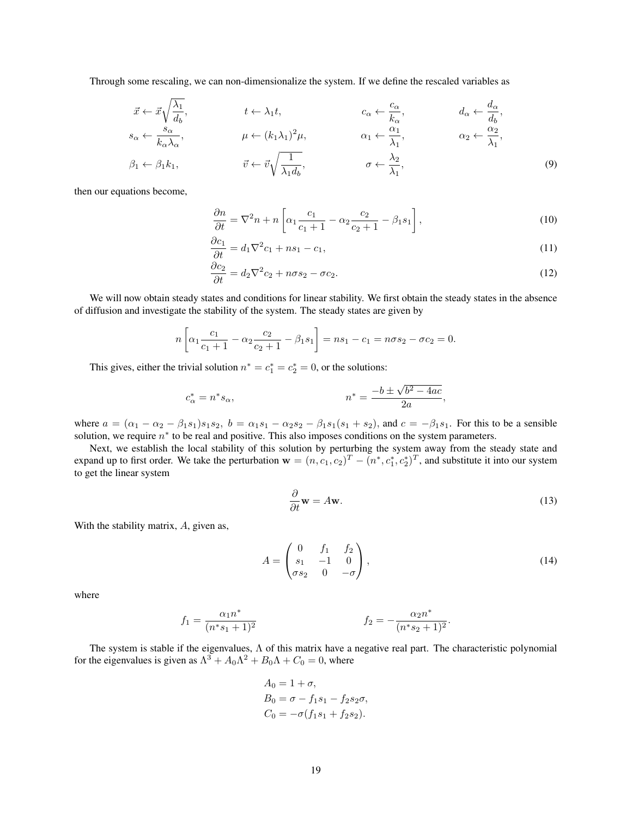Through some rescaling, we can non-dimensionalize the system. If we define the rescaled variables as

$$
\vec{x} \leftarrow \vec{x} \sqrt{\frac{\lambda_1}{d_b}}, \qquad t \leftarrow \lambda_1 t, \qquad c_{\alpha} \leftarrow \frac{c_{\alpha}}{k_{\alpha}}, \qquad d_{\alpha} \leftarrow \frac{d_{\alpha}}{d_b},
$$
\n
$$
s_{\alpha} \leftarrow \frac{s_{\alpha}}{k_{\alpha}\lambda_{\alpha}}, \qquad \mu \leftarrow (k_1 \lambda_1)^2 \mu, \qquad \alpha_1 \leftarrow \frac{\alpha_1}{\lambda_1}, \qquad \alpha_2 \leftarrow \frac{\alpha_2}{\lambda_1},
$$

$$
\beta_1 \leftarrow \beta_1 k_1, \qquad \vec{v} \leftarrow \vec{v} \sqrt{\frac{1}{\lambda_1 d_b}}, \qquad \sigma \leftarrow \frac{\lambda_2}{\lambda_1}, \qquad (9)
$$

then our equations become,

$$
\frac{\partial n}{\partial t} = \nabla^2 n + n \left[ \alpha_1 \frac{c_1}{c_1 + 1} - \alpha_2 \frac{c_2}{c_2 + 1} - \beta_1 s_1 \right],\tag{10}
$$

$$
\frac{\partial c_1}{\partial t} = d_1 \nabla^2 c_1 + n s_1 - c_1,\tag{11}
$$

$$
\frac{\partial c_2}{\partial t} = d_2 \nabla^2 c_2 + n \sigma s_2 - \sigma c_2. \tag{12}
$$

We will now obtain steady states and conditions for linear stability. We first obtain the steady states in the absence of diffusion and investigate the stability of the system. The steady states are given by

$$
n\left[\alpha_1 \frac{c_1}{c_1+1} - \alpha_2 \frac{c_2}{c_2+1} - \beta_1 s_1\right] = ns_1 - c_1 = n\sigma s_2 - \sigma c_2 = 0.
$$

This gives, either the trivial solution  $n^* = c_1^* = c_2^* = 0$ , or the solutions:

$$
c_{\alpha}^* = n^* s_{\alpha},
$$
  $n^* = \frac{-b \pm \sqrt{b^2 - 4ac}}{2a},$ 

where  $a = (\alpha_1 - \alpha_2 - \beta_1 s_1)s_1 s_2$ ,  $b = \alpha_1 s_1 - \alpha_2 s_2 - \beta_1 s_1 (s_1 + s_2)$ , and  $c = -\beta_1 s_1$ . For this to be a sensible solution, we require  $n^*$  to be real and positive. This also imposes conditions on the system parameters.

Next, we establish the local stability of this solution by perturbing the system away from the steady state and expand up to first order. We take the perturbation  $\mathbf{w} = (n, c_1, c_2)^T - (n^*, c_1^*, c_2^*)^T$ , and substitute it into our system to get the linear system

$$
\frac{\partial}{\partial t}\mathbf{w} = A\mathbf{w}.\tag{13}
$$

With the stability matrix, A, given as,

$$
A = \begin{pmatrix} 0 & f_1 & f_2 \\ s_1 & -1 & 0 \\ \sigma s_2 & 0 & -\sigma \end{pmatrix},
$$
 (14)

where

$$
f_1 = \frac{\alpha_1 n^*}{(n^* s_1 + 1)^2} \qquad \qquad f_2 = -\frac{\alpha_2 n^*}{(n^* s_2 + 1)^2}.
$$

The system is stable if the eigenvalues,  $\Lambda$  of this matrix have a negative real part. The characteristic polynomial for the eigenvalues is given as  $\Lambda^3 + A_0 \Lambda^2 + B_0 \Lambda + C_0 = 0$ , where

$$
A_0 = 1 + \sigma,
$$
  
\n
$$
B_0 = \sigma - f_1 s_1 - f_2 s_2 \sigma,
$$
  
\n
$$
C_0 = -\sigma (f_1 s_1 + f_2 s_2).
$$